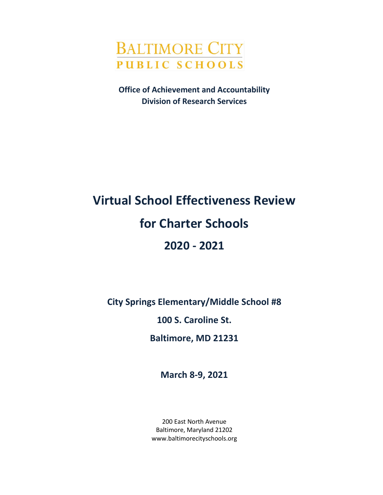

**Office of Achievement and Accountability Division of Research Services**

# **Virtual School Effectiveness Review for Charter Schools 2020 - 2021**

**City Springs Elementary/Middle School #8**

**100 S. Caroline St.**

**Baltimore, MD 21231**

**March 8-9, 2021**

200 East North Avenue Baltimore, Maryland 21202 www.baltimorecityschools.org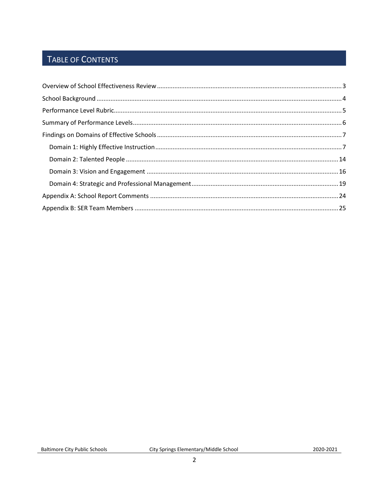# TABLE OF CONTENTS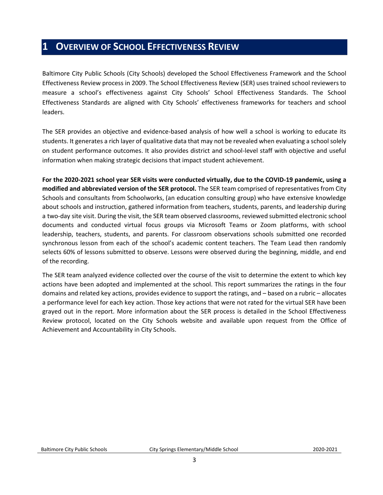## <span id="page-2-0"></span>**1 OVERVIEW OF SCHOOL EFFECTIVENESS REVIEW**

Baltimore City Public Schools (City Schools) developed the School Effectiveness Framework and the School Effectiveness Review process in 2009. The School Effectiveness Review (SER) uses trained school reviewers to measure a school's effectiveness against City Schools' School Effectiveness Standards. The School Effectiveness Standards are aligned with City Schools' effectiveness frameworks for teachers and school leaders.

The SER provides an objective and evidence-based analysis of how well a school is working to educate its students. It generates a rich layer of qualitative data that may not be revealed when evaluating a school solely on student performance outcomes. It also provides district and school-level staff with objective and useful information when making strategic decisions that impact student achievement.

**For the 2020-2021 school year SER visits were conducted virtually, due to the COVID-19 pandemic, using a modified and abbreviated version of the SER protocol.** The SER team comprised of representatives from City Schools and consultants from Schoolworks, (an education consulting group) who have extensive knowledge about schools and instruction, gathered information from teachers, students, parents, and leadership during a two-day site visit. During the visit, the SER team observed classrooms, reviewed submitted electronic school documents and conducted virtual focus groups via Microsoft Teams or Zoom platforms, with school leadership, teachers, students, and parents. For classroom observations schools submitted one recorded synchronous lesson from each of the school's academic content teachers. The Team Lead then randomly selects 60% of lessons submitted to observe. Lessons were observed during the beginning, middle, and end of the recording.

The SER team analyzed evidence collected over the course of the visit to determine the extent to which key actions have been adopted and implemented at the school. This report summarizes the ratings in the four domains and related key actions, provides evidence to support the ratings, and – based on a rubric – allocates a performance level for each key action. Those key actions that were not rated for the virtual SER have been grayed out in the report. More information about the SER process is detailed in the School Effectiveness Review protocol, located on the City Schools website and available upon request from the Office of Achievement and Accountability in City Schools.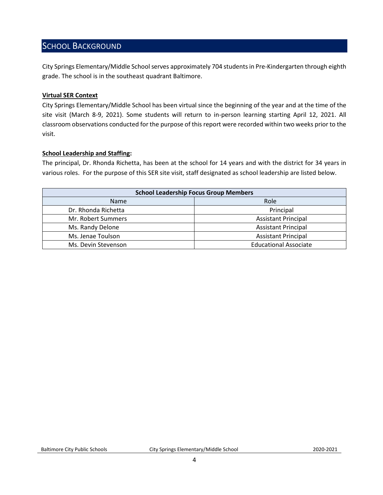### <span id="page-3-0"></span>SCHOOL BACKGROUND

City Springs Elementary/Middle School serves approximately 704 students in Pre-Kindergarten through eighth grade. The school is in the southeast quadrant Baltimore.

### **Virtual SER Context**

City Springs Elementary/Middle School has been virtual since the beginning of the year and at the time of the site visit (March 8-9, 2021). Some students will return to in-person learning starting April 12, 2021. All classroom observations conducted for the purpose of this report were recorded within two weeks prior to the visit.

### **School Leadership and Staffing:**

The principal, Dr. Rhonda Richetta, has been at the school for 14 years and with the district for 34 years in various roles. For the purpose of this SER site visit, staff designated as school leadership are listed below.

<span id="page-3-1"></span>

| <b>School Leadership Focus Group Members</b> |                              |  |  |
|----------------------------------------------|------------------------------|--|--|
| <b>Name</b>                                  | Role                         |  |  |
| Dr. Rhonda Richetta                          | Principal                    |  |  |
| Mr. Robert Summers                           | <b>Assistant Principal</b>   |  |  |
| Ms. Randy Delone                             | <b>Assistant Principal</b>   |  |  |
| Ms. Jenae Toulson                            | <b>Assistant Principal</b>   |  |  |
| Ms. Devin Stevenson                          | <b>Educational Associate</b> |  |  |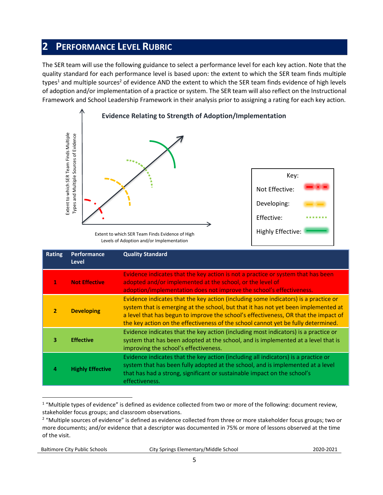## **2 PERFORMANCE LEVEL RUBRIC**

The SER team will use the following guidance to select a performance level for each key action. Note that the quality standard for each performance level is based upon: the extent to which the SER team finds multiple types<sup>1</sup> and multiple sources<sup>2</sup> of evidence AND the extent to which the SER team finds evidence of high levels of adoption and/or implementation of a practice or system. The SER team will also reflect on the Instructional Framework and School Leadership Framework in their analysis prior to assigning a rating for each key action.



Extent to which SER Team Finds Evidence of High Levels of Adoption and/or Implementation

|                | Extent to which SER Team Finds Multiple<br>Types and Multiple Sources of Evidence | Extent to which SER Team Finds Evidence of High<br>Levels of Adoption and/or Implementation                                                                                                                                                                                                                                                                                                                                                    | Key:<br>Not Effective:<br>Developing:<br>Effective:<br>Highly Effective: |  |
|----------------|-----------------------------------------------------------------------------------|------------------------------------------------------------------------------------------------------------------------------------------------------------------------------------------------------------------------------------------------------------------------------------------------------------------------------------------------------------------------------------------------------------------------------------------------|--------------------------------------------------------------------------|--|
| <b>Rating</b>  | Performance<br><b>Level</b>                                                       | <b>Quality Standard</b>                                                                                                                                                                                                                                                                                                                                                                                                                        |                                                                          |  |
| $\mathbf{1}$   | <b>Not Effective</b>                                                              | Evidence indicates that the key action is not a practice or system that has been<br>adopted and/or implemented at the school, or the level of<br>adoption/implementation does not improve the school's effectiveness.                                                                                                                                                                                                                          |                                                                          |  |
| $\overline{2}$ | <b>Developing</b>                                                                 | Evidence indicates that the key action (including some indicators) is a practice or<br>system that is emerging at the school, but that it has not yet been implemented at<br>a level that has begun to improve the school's effectiveness, OR that the impact of<br>the key action on the effectiveness of the school cannot yet be fully determined.                                                                                          |                                                                          |  |
| 3              | <b>Effective</b>                                                                  | Evidence indicates that the key action (including most indicators) is a practice or<br>system that has been adopted at the school, and is implemented at a level that is<br>improving the school's effectiveness.                                                                                                                                                                                                                              |                                                                          |  |
| 4              | <b>Highly Effective</b>                                                           | Evidence indicates that the key action (including all indicators) is a practice or<br>system that has been fully adopted at the school, and is implemented at a level<br>that has had a strong, significant or sustainable impact on the school's<br>effectiveness.                                                                                                                                                                            |                                                                          |  |
| of the visit.  |                                                                                   | <sup>1</sup> "Multiple types of evidence" is defined as evidence collected from two or more of the following: document review,<br>stakeholder focus groups; and classroom observations.<br><sup>2</sup> "Multiple sources of evidence" is defined as evidence collected from three or more stakeholder focus groups; two or<br>more documents; and/or evidence that a descriptor was documented in 75% or more of lessons observed at the time |                                                                          |  |

 $\overline{a}$  $1$  "Multiple types of evidence" is defined as evidence collected from two or more of the following: document review, stakeholder focus groups; and classroom observations.

Baltimore City Public Schools City Springs Elementary/Middle School2020-2021

<sup>&</sup>lt;sup>2</sup> "Multiple sources of evidence" is defined as evidence collected from three or more stakeholder focus groups; two or more documents; and/or evidence that a descriptor was documented in 75% or more of lessons observed at the time of the visit.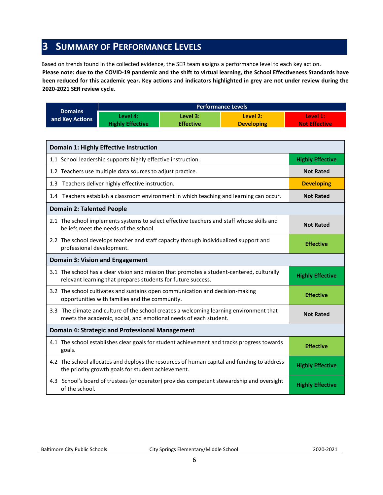## <span id="page-5-0"></span>**3 SUMMARY OF PERFORMANCE LEVELS**

Based on trends found in the collected evidence, the SER team assigns a performance level to each key action.

**Please note: due to the COVID-19 pandemic and the shift to virtual learning, the School Effectiveness Standards have been reduced for this academic year. Key actions and indicators highlighted in grey are not under review during the 2020-2021 SER review cycle**.

|                 | <b>Performance Levels</b> |                  |                   |                      |
|-----------------|---------------------------|------------------|-------------------|----------------------|
| <b>Domains</b>  | Level 4:                  | Level 3:         | Level 2:          | Level 1:             |
| and Key Actions | <b>Highly Effective</b>   | <b>Effective</b> | <b>Developing</b> | <b>Not Effective</b> |

| <b>Domain 1: Highly Effective Instruction</b>                                                                                                               |                         |
|-------------------------------------------------------------------------------------------------------------------------------------------------------------|-------------------------|
| 1.1 School leadership supports highly effective instruction.                                                                                                | <b>Highly Effective</b> |
| 1.2 Teachers use multiple data sources to adjust practice.                                                                                                  | <b>Not Rated</b>        |
| 1.3 Teachers deliver highly effective instruction.                                                                                                          | <b>Developing</b>       |
| 1.4 Teachers establish a classroom environment in which teaching and learning can occur.                                                                    | <b>Not Rated</b>        |
| <b>Domain 2: Talented People</b>                                                                                                                            |                         |
| 2.1 The school implements systems to select effective teachers and staff whose skills and<br>beliefs meet the needs of the school.                          | <b>Not Rated</b>        |
| 2.2 The school develops teacher and staff capacity through individualized support and<br>professional development.                                          | <b>Effective</b>        |
| <b>Domain 3: Vision and Engagement</b>                                                                                                                      |                         |
| 3.1 The school has a clear vision and mission that promotes a student-centered, culturally<br>relevant learning that prepares students for future success.  | <b>Highly Effective</b> |
| 3.2 The school cultivates and sustains open communication and decision-making<br>opportunities with families and the community.                             | <b>Effective</b>        |
| 3.3 The climate and culture of the school creates a welcoming learning environment that<br>meets the academic, social, and emotional needs of each student. | <b>Not Rated</b>        |
| <b>Domain 4: Strategic and Professional Management</b>                                                                                                      |                         |
| 4.1 The school establishes clear goals for student achievement and tracks progress towards<br>goals.                                                        | <b>Effective</b>        |
| 4.2 The school allocates and deploys the resources of human capital and funding to address<br>the priority growth goals for student achievement.            | <b>Highly Effective</b> |
| 4.3 School's board of trustees (or operator) provides competent stewardship and oversight<br>of the school.                                                 | <b>Highly Effective</b> |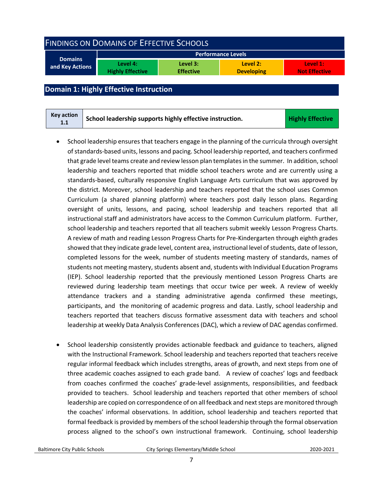<span id="page-6-0"></span>

| <b>FINDINGS ON DOMAINS OF EFFECTIVE SCHOOLS</b> |                                     |                              |                               |                                  |
|-------------------------------------------------|-------------------------------------|------------------------------|-------------------------------|----------------------------------|
| <b>Domains</b>                                  |                                     |                              | <b>Performance Levels</b>     |                                  |
| and Key Actions                                 | Level 4:<br><b>Highly Effective</b> | Level 3:<br><b>Effective</b> | Level 2:<br><b>Developing</b> | Level 1:<br><b>Not Effective</b> |

### <span id="page-6-1"></span>**Domain 1: Highly Effective Instruction**

| <b>Key action</b> | School leadership supports highly effective instruction. | <b>Highly Effective</b> |
|-------------------|----------------------------------------------------------|-------------------------|
| 1.1               |                                                          |                         |

- School leadership ensures that teachers engage in the planning of the curricula through oversight of standards-based units, lessons and pacing. School leadership reported, and teachers confirmed that grade level teams create and review lesson plan templatesin the summer. In addition, school leadership and teachers reported that middle school teachers wrote and are currently using a standards-based, culturally responsive English Language Arts curriculum that was approved by the district. Moreover, school leadership and teachers reported that the school uses Common Curriculum (a shared planning platform) where teachers post daily lesson plans. Regarding oversight of units, lessons, and pacing, school leadership and teachers reported that all instructional staff and administrators have access to the Common Curriculum platform. Further, school leadership and teachers reported that all teachers submit weekly Lesson Progress Charts. A review of math and reading Lesson Progress Charts for Pre-Kindergarten through eighth grades showed that they indicate grade level, content area, instructional level of students, date of lesson, completed lessons for the week, number of students meeting mastery of standards, names of students not meeting mastery, students absent and, students with Individual Education Programs (IEP). School leadership reported that the previously mentioned Lesson Progress Charts are reviewed during leadership team meetings that occur twice per week. A review of weekly attendance trackers and a standing administrative agenda confirmed these meetings, participants, and the monitoring of academic progress and data. Lastly, school leadership and teachers reported that teachers discuss formative assessment data with teachers and school leadership at weekly Data Analysis Conferences (DAC), which a review of DAC agendas confirmed.
- School leadership consistently provides actionable feedback and guidance to teachers, aligned with the Instructional Framework. School leadership and teachers reported that teachers receive regular informal feedback which includes strengths, areas of growth, and next steps from one of three academic coaches assigned to each grade band. A review of coaches' logs and feedback from coaches confirmed the coaches' grade-level assignments, responsibilities, and feedback provided to teachers. School leadership and teachers reported that other members of school leadership are copied on correspondence of on all feedback and next steps are monitored through the coaches' informal observations. In addition, school leadership and teachers reported that formal feedback is provided by members of the school leadership through the formal observation process aligned to the school's own instructional framework. Continuing, school leadership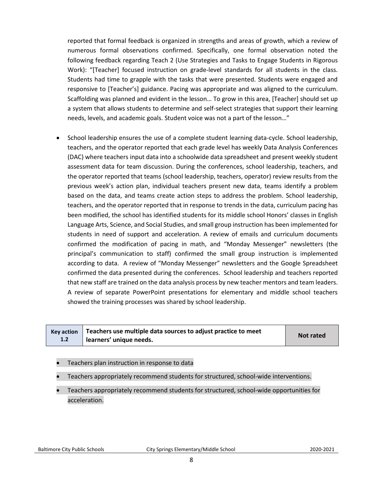reported that formal feedback is organized in strengths and areas of growth, which a review of numerous formal observations confirmed. Specifically, one formal observation noted the following feedback regarding Teach 2 (Use Strategies and Tasks to Engage Students in Rigorous Work): "[Teacher] focused instruction on grade-level standards for all students in the class. Students had time to grapple with the tasks that were presented. Students were engaged and responsive to [Teacher's] guidance. Pacing was appropriate and was aligned to the curriculum. Scaffolding was planned and evident in the lesson… To grow in this area, [Teacher] should set up a system that allows students to determine and self-select strategies that support their learning needs, levels, and academic goals. Student voice was not a part of the lesson…"

• School leadership ensures the use of a complete student learning data-cycle. School leadership, teachers, and the operator reported that each grade level has weekly Data Analysis Conferences (DAC) where teachers input data into a schoolwide data spreadsheet and present weekly student assessment data for team discussion. During the conferences, school leadership, teachers, and the operator reported that teams (school leadership, teachers, operator) review results from the previous week's action plan, individual teachers present new data, teams identify a problem based on the data, and teams create action steps to address the problem. School leadership, teachers, and the operator reported that in response to trends in the data, curriculum pacing has been modified, the school has identified students for its middle school Honors' classes in English Language Arts, Science, and Social Studies, and small group instruction has been implemented for students in need of support and acceleration. A review of emails and curriculum documents confirmed the modification of pacing in math, and "Monday Messenger" newsletters (the principal's communication to staff) confirmed the small group instruction is implemented according to data. A review of "Monday Messenger" newsletters and the Google Spreadsheet confirmed the data presented during the conferences. School leadership and teachers reported that new staff are trained on the data analysis process by new teacher mentors and team leaders. A review of separate PowerPoint presentations for elementary and middle school teachers showed the training processes was shared by school leadership.

|     | Key action $\vert$ Teachers use multiple data sources to adjust practice to meet | Not rated |
|-----|----------------------------------------------------------------------------------|-----------|
| 1.2 | learners' unique needs.                                                          |           |

- Teachers plan instruction in response to data
- Teachers appropriately recommend students for structured, school-wide interventions.
- Teachers appropriately recommend students for structured, school-wide opportunities for acceleration.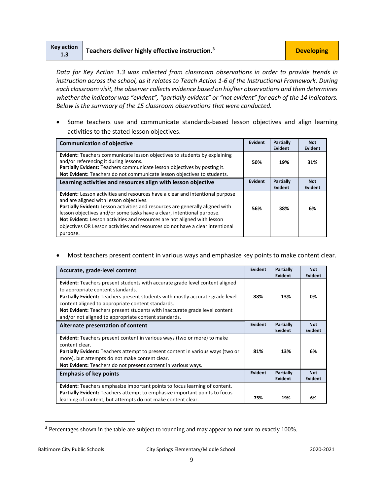| Key action<br>1.3 | $\blacksquare$ Teachers deliver highly effective instruction. <sup>3</sup> | <b>Developing</b> |
|-------------------|----------------------------------------------------------------------------|-------------------|
|                   |                                                                            |                   |

*Data for Key Action 1.3 was collected from classroom observations in order to provide trends in instruction across the school, as it relates to Teach Action 1-6 of the Instructional Framework. During each classroom visit, the observer collects evidence based on his/her observations and then determines*  whether the indicator was "evident", "partially evident" or "not evident" for each of the 14 indicators. *Below is the summary of the 15 classroom observations that were conducted.* 

• Some teachers use and communicate standards-based lesson objectives and align learning activities to the stated lesson objectives.

| <b>Communication of objective</b>                                                                                                                                                                                                                                                                                                                                                                                                                       | Evident | Partially<br>Evident | <b>Not</b><br>Evident |
|---------------------------------------------------------------------------------------------------------------------------------------------------------------------------------------------------------------------------------------------------------------------------------------------------------------------------------------------------------------------------------------------------------------------------------------------------------|---------|----------------------|-----------------------|
| <b>Evident:</b> Teachers communicate lesson objectives to students by explaining<br>and/or referencing it during lessons.<br>Partially Evident: Teachers communicate lesson objectives by posting it.<br>Not Evident: Teachers do not communicate lesson objectives to students.                                                                                                                                                                        | 50%     | 19%                  | 31%                   |
| Learning activities and resources align with lesson objective                                                                                                                                                                                                                                                                                                                                                                                           | Evident | Partially<br>Evident | <b>Not</b><br>Evident |
| <b>Evident:</b> Lesson activities and resources have a clear and intentional purpose<br>and are aligned with lesson objectives.<br>Partially Evident: Lesson activities and resources are generally aligned with<br>lesson objectives and/or some tasks have a clear, intentional purpose.<br>Not Evident: Lesson activities and resources are not aligned with lesson<br>objectives OR Lesson activities and resources do not have a clear intentional | 56%     | 38%                  | 6%                    |
| purpose.                                                                                                                                                                                                                                                                                                                                                                                                                                                |         |                      |                       |

• Most teachers present content in various ways and emphasize key points to make content clear.

| Accurate, grade-level content                                                                                                                                                                                                                                                                                                                                                                        | <b>Evident</b> | Partially<br><b>Evident</b> | <b>Not</b><br>Evident        |
|------------------------------------------------------------------------------------------------------------------------------------------------------------------------------------------------------------------------------------------------------------------------------------------------------------------------------------------------------------------------------------------------------|----------------|-----------------------------|------------------------------|
| Evident: Teachers present students with accurate grade level content aligned<br>to appropriate content standards.<br>Partially Evident: Teachers present students with mostly accurate grade level<br>content aligned to appropriate content standards.<br><b>Not Evident:</b> Teachers present students with inaccurate grade level content<br>and/or not aligned to appropriate content standards. | 88%            | 13%                         | 0%                           |
| Alternate presentation of content                                                                                                                                                                                                                                                                                                                                                                    | Evident        | Partially<br><b>Evident</b> | <b>Not</b><br>Evident        |
| <b>Evident:</b> Teachers present content in various ways (two or more) to make<br>content clear.<br><b>Partially Evident:</b> Teachers attempt to present content in various ways (two or<br>more), but attempts do not make content clear.<br>Not Evident: Teachers do not present content in various ways.                                                                                         | 81%            | 13%                         | 6%                           |
| <b>Emphasis of key points</b>                                                                                                                                                                                                                                                                                                                                                                        | Evident        | Partially<br><b>Evident</b> | <b>Not</b><br><b>Evident</b> |
| <b>Evident:</b> Teachers emphasize important points to focus learning of content.<br><b>Partially Evident:</b> Teachers attempt to emphasize important points to focus<br>learning of content, but attempts do not make content clear.                                                                                                                                                               | 75%            | 19%                         | 6%                           |

<sup>&</sup>lt;sup>3</sup> Percentages shown in the table are subject to rounding and may appear to not sum to exactly 100%.

l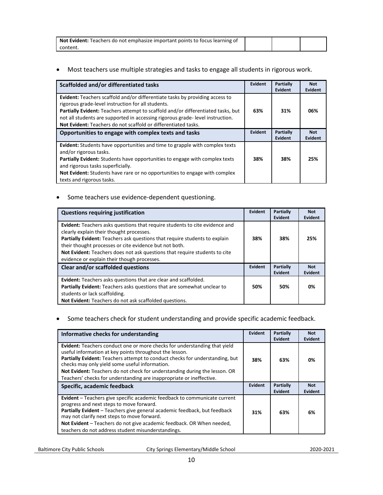| <b>Not Evident:</b> Teachers do not emphasize important points to focus learning of |  |  |
|-------------------------------------------------------------------------------------|--|--|
| content.                                                                            |  |  |

### • Most teachers use multiple strategies and tasks to engage all students in rigorous work.

| Scaffolded and/or differentiated tasks                                                                                                                                                                                                                                                                                                                                                         | <b>Evident</b> | Partially<br>Evident | <b>Not</b><br>Evident |
|------------------------------------------------------------------------------------------------------------------------------------------------------------------------------------------------------------------------------------------------------------------------------------------------------------------------------------------------------------------------------------------------|----------------|----------------------|-----------------------|
| <b>Evident:</b> Teachers scaffold and/or differentiate tasks by providing access to<br>rigorous grade-level instruction for all students.<br><b>Partially Evident:</b> Teachers attempt to scaffold and/or differentiated tasks, but<br>not all students are supported in accessing rigorous grade-level instruction.<br><b>Not Evident:</b> Teachers do not scaffold or differentiated tasks. | 63%            | 31%                  | 06%                   |
| Opportunities to engage with complex texts and tasks                                                                                                                                                                                                                                                                                                                                           |                | Partially<br>Evident | <b>Not</b><br>Evident |
| Evident: Students have opportunities and time to grapple with complex texts<br>and/or rigorous tasks.<br>Partially Evident: Students have opportunities to engage with complex texts<br>and rigorous tasks superficially.<br><b>Not Evident:</b> Students have rare or no opportunities to engage with complex<br>texts and rigorous tasks.                                                    | 38%            | 38%                  | 25%                   |

## • Some teachers use evidence-dependent questioning.

| <b>Questions requiring justification</b>                                                                                                                                                                                                                                                                                                                                                            | Evident | Partially<br>Evident | <b>Not</b><br><b>Evident</b> |
|-----------------------------------------------------------------------------------------------------------------------------------------------------------------------------------------------------------------------------------------------------------------------------------------------------------------------------------------------------------------------------------------------------|---------|----------------------|------------------------------|
| <b>Evident:</b> Teachers asks questions that require students to cite evidence and<br>clearly explain their thought processes.<br>Partially Evident: Teachers ask questions that require students to explain<br>their thought processes or cite evidence but not both.<br>Not Evident: Teachers does not ask questions that require students to cite<br>evidence or explain their though processes. | 38%     | 38%                  | 25%                          |
| Clear and/or scaffolded questions                                                                                                                                                                                                                                                                                                                                                                   |         | Partially<br>Evident | <b>Not</b><br><b>Evident</b> |
| <b>Evident:</b> Teachers asks questions that are clear and scaffolded.<br>Partially Evident: Teachers asks questions that are somewhat unclear to<br>students or lack scaffolding.<br>Not Evident: Teachers do not ask scaffolded questions.                                                                                                                                                        | 50%     | 50%                  | 0%                           |

### • Some teachers check for student understanding and provide specific academic feedback.

| Informative checks for understanding                                                                                                                                                                                                                                                                                                                                                                                         | <b>Evident</b> | Partially<br>Evident | <b>Not</b><br>Evident |
|------------------------------------------------------------------------------------------------------------------------------------------------------------------------------------------------------------------------------------------------------------------------------------------------------------------------------------------------------------------------------------------------------------------------------|----------------|----------------------|-----------------------|
| Evident: Teachers conduct one or more checks for understanding that yield<br>useful information at key points throughout the lesson.<br>Partially Evident: Teachers attempt to conduct checks for understanding, but<br>checks may only yield some useful information.<br>Not Evident: Teachers do not check for understanding during the lesson. OR<br>Teachers' checks for understanding are inappropriate or ineffective. | 38%            | 63%                  | 0%                    |
| Specific, academic feedback                                                                                                                                                                                                                                                                                                                                                                                                  | <b>Evident</b> | Partially<br>Evident | <b>Not</b><br>Evident |
| <b>Evident</b> – Teachers give specific academic feedback to communicate current<br>progress and next steps to move forward.<br>Partially Evident - Teachers give general academic feedback, but feedback<br>may not clarify next steps to move forward.<br>Not Evident - Teachers do not give academic feedback. OR When needed,<br>teachers do not address student misunderstandings.                                      | 31%            | 63%                  | 6%                    |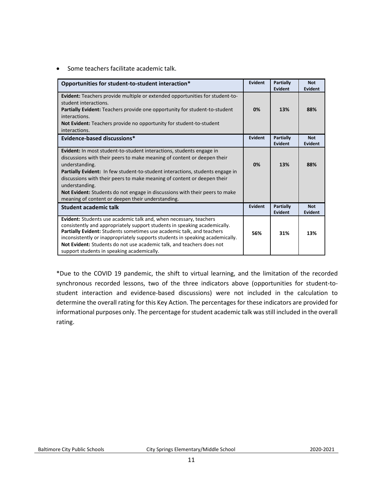• Some teachers facilitate academic talk.

| Opportunities for student-to-student interaction*                                                                                                                                                                                                                                                                                                                                                                                                                                                 | Evident        | Partially<br>Evident        | <b>Not</b><br><b>Evident</b> |
|---------------------------------------------------------------------------------------------------------------------------------------------------------------------------------------------------------------------------------------------------------------------------------------------------------------------------------------------------------------------------------------------------------------------------------------------------------------------------------------------------|----------------|-----------------------------|------------------------------|
| Evident: Teachers provide multiple or extended opportunities for student-to-<br>student interactions.<br><b>Partially Evident:</b> Teachers provide one opportunity for student-to-student<br>interactions.<br><b>Not Evident:</b> Teachers provide no opportunity for student-to-student<br>interactions.                                                                                                                                                                                        | 0%             | 13%                         | 88%                          |
| Evidence-based discussions*                                                                                                                                                                                                                                                                                                                                                                                                                                                                       | <b>Evident</b> | Partially<br>Evident        | <b>Not</b><br><b>Evident</b> |
| <b>Evident:</b> In most student-to-student interactions, students engage in<br>discussions with their peers to make meaning of content or deepen their<br>understanding.<br><b>Partially Evident:</b> In few student-to-student interactions, students engage in<br>discussions with their peers to make meaning of content or deepen their<br>understanding.<br>Not Evident: Students do not engage in discussions with their peers to make<br>meaning of content or deepen their understanding. | 0%             | 13%                         | 88%                          |
| <b>Student academic talk</b>                                                                                                                                                                                                                                                                                                                                                                                                                                                                      | Evident        | <b>Partially</b><br>Evident | <b>Not</b><br><b>Evident</b> |
| Evident: Students use academic talk and, when necessary, teachers<br>consistently and appropriately support students in speaking academically.<br>Partially Evident: Students sometimes use academic talk, and teachers<br>inconsistently or inappropriately supports students in speaking academically.<br>Not Evident: Students do not use academic talk, and teachers does not<br>support students in speaking academically.                                                                   | 56%            | 31%                         | 13%                          |

\*Due to the COVID 19 pandemic, the shift to virtual learning, and the limitation of the recorded synchronous recorded lessons, two of the three indicators above (opportunities for student-tostudent interaction and evidence-based discussions) were not included in the calculation to determine the overall rating for this Key Action. The percentages for these indicators are provided for informational purposes only. The percentage for student academic talk was still included in the overall rating.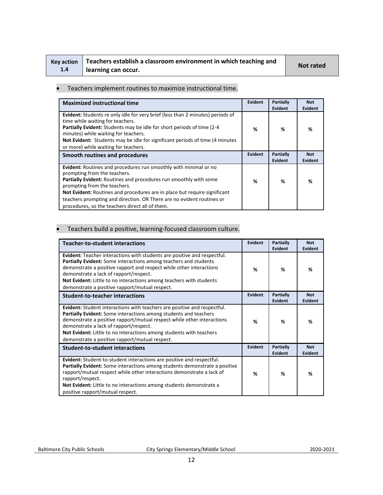| Key action |  |
|------------|--|
| 1.4        |  |

# **Teachers establish a classroom environment in which teaching and learning can occur. Not rated**

#### • Teachers implement routines to maximize instructional time.

| <b>Maximized instructional time</b>                                                                                                                                                                                                                                                                                                                                                                            | Evident | <b>Partially</b><br><b>Evident</b> | <b>Not</b><br>Evident        |
|----------------------------------------------------------------------------------------------------------------------------------------------------------------------------------------------------------------------------------------------------------------------------------------------------------------------------------------------------------------------------------------------------------------|---------|------------------------------------|------------------------------|
| Evident: Students re only idle for very brief (less than 2 minutes) periods of<br>time while waiting for teachers.<br><b>Partially Evident:</b> Students may be idle for short periods of time (2-4)<br>minutes) while waiting for teachers.<br>Not Evident: Students may be idle for significant periods of time (4 minutes)<br>or more) while waiting for teachers.                                          | %       | %                                  | %                            |
| Smooth routines and procedures                                                                                                                                                                                                                                                                                                                                                                                 | Evident | Partially<br>Evident               | <b>Not</b><br><b>Evident</b> |
| Evident: Routines and procedures run smoothly with minimal or no<br>prompting from the teachers.<br>Partially Evident: Routines and procedures run smoothly with some<br>prompting from the teachers.<br>Not Evident: Routines and procedures are in place but require significant<br>teachers prompting and direction. OR There are no evident routines or<br>procedures, so the teachers direct all of them. | ℅       | %                                  | %                            |

### • Teachers build a positive, learning-focused classroom culture.

| <b>Teacher-to-student interactions</b>                                                                                                                                                                                                                                                                                                                                                    | Evident | Partially<br>Evident        | <b>Not</b><br><b>Evident</b> |
|-------------------------------------------------------------------------------------------------------------------------------------------------------------------------------------------------------------------------------------------------------------------------------------------------------------------------------------------------------------------------------------------|---------|-----------------------------|------------------------------|
| Evident: Teacher interactions with students are positive and respectful.<br>Partially Evident: Some interactions among teachers and students<br>demonstrate a positive rapport and respect while other interactions<br>demonstrate a lack of rapport/respect.<br>Not Evident: Little to no interactions among teachers with students<br>demonstrate a positive rapport/mutual respect.    | %       | %                           | %                            |
| <b>Student-to-teacher interactions</b>                                                                                                                                                                                                                                                                                                                                                    | Evident | <b>Partially</b><br>Evident | <b>Not</b><br>Evident        |
| Evident: Student interactions with teachers are positive and respectful.<br>Partially Evident: Some interactions among students and teachers<br>demonstrate a positive rapport/mutual respect while other interactions<br>demonstrate a lack of rapport/respect.<br>Not Evident: Little to no interactions among students with teachers<br>demonstrate a positive rapport/mutual respect. | %       | %                           | %                            |
| <b>Student-to-student interactions</b>                                                                                                                                                                                                                                                                                                                                                    | Evident | Partially<br>Evident        | <b>Not</b><br><b>Evident</b> |
| Evident: Student-to-student interactions are positive and respectful.<br>Partially Evident: Some interactions among students demonstrate a positive<br>rapport/mutual respect while other interactions demonstrate a lack of<br>rapport/respect.<br>Not Evident: Little to no interactions among students demonstrate a<br>positive rapport/mutual respect.                               | %       | %                           | %                            |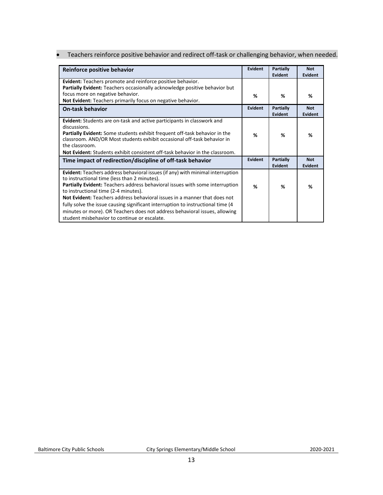### • Teachers reinforce positive behavior and redirect off-task or challenging behavior, when needed.

| Reinforce positive behavior                                                                                                                                                                                                                                                                                                                                                                                                                                                                                                                                                | Evident        | Partially<br>Evident | <b>Not</b><br><b>Evident</b> |
|----------------------------------------------------------------------------------------------------------------------------------------------------------------------------------------------------------------------------------------------------------------------------------------------------------------------------------------------------------------------------------------------------------------------------------------------------------------------------------------------------------------------------------------------------------------------------|----------------|----------------------|------------------------------|
| Evident: Teachers promote and reinforce positive behavior.<br>Partially Evident: Teachers occasionally acknowledge positive behavior but                                                                                                                                                                                                                                                                                                                                                                                                                                   |                |                      |                              |
| focus more on negative behavior.<br>Not Evident: Teachers primarily focus on negative behavior.                                                                                                                                                                                                                                                                                                                                                                                                                                                                            | %              | ℅                    | %                            |
| <b>On-task behavior</b>                                                                                                                                                                                                                                                                                                                                                                                                                                                                                                                                                    | Evident        | Partially<br>Evident | <b>Not</b><br>Evident        |
| <b>Evident:</b> Students are on-task and active participants in classwork and<br>discussions.<br><b>Partially Evident:</b> Some students exhibit frequent off-task behavior in the<br>classroom. AND/OR Most students exhibit occasional off-task behavior in<br>the classroom.<br><b>Not Evident:</b> Students exhibit consistent off-task behavior in the classroom.                                                                                                                                                                                                     | %              | %                    | %                            |
| Time impact of redirection/discipline of off-task behavior                                                                                                                                                                                                                                                                                                                                                                                                                                                                                                                 | <b>Evident</b> | Partially<br>Evident | <b>Not</b><br>Evident        |
| <b>Evident:</b> Teachers address behavioral issues (if any) with minimal interruption<br>to instructional time (less than 2 minutes).<br><b>Partially Evident:</b> Teachers address behavioral issues with some interruption<br>to instructional time (2-4 minutes).<br><b>Not Evident:</b> Teachers address behavioral issues in a manner that does not<br>fully solve the issue causing significant interruption to instructional time (4)<br>minutes or more). OR Teachers does not address behavioral issues, allowing<br>student misbehavior to continue or escalate. | %              | %                    | %                            |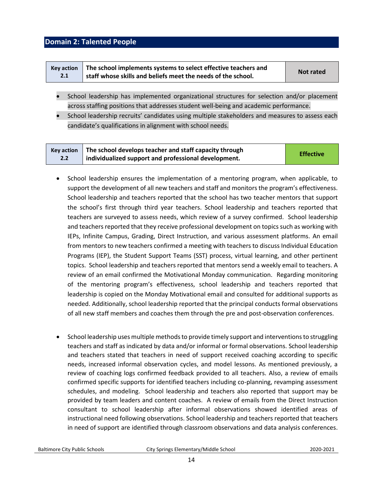### <span id="page-13-0"></span>**Domain 2: Talented People**

|     | Key action   The school implements systems to select effective teachers and | <b>Not rated</b> |
|-----|-----------------------------------------------------------------------------|------------------|
| 2.1 | staff whose skills and beliefs meet the needs of the school.                |                  |

- School leadership has implemented organizational structures for selection and/or placement across staffing positions that addresses student well-being and academic performance.
- School leadership recruits' candidates using multiple stakeholders and measures to assess each candidate's qualifications in alignment with school needs.

| <b>Kev action</b> | The school develops teacher and staff capacity through | <b>Effective</b> |
|-------------------|--------------------------------------------------------|------------------|
| 2.2               | individualized support and professional development.   |                  |

- School leadership ensures the implementation of a mentoring program, when applicable, to support the development of all new teachers and staff and monitors the program's effectiveness. School leadership and teachers reported that the school has two teacher mentors that support the school's first through third year teachers. School leadership and teachers reported that teachers are surveyed to assess needs, which review of a survey confirmed. School leadership and teachers reported that they receive professional development on topics such as working with IEPs, Infinite Campus, Grading, Direct Instruction, and various assessment platforms. An email from mentors to new teachers confirmed a meeting with teachers to discuss Individual Education Programs (IEP), the Student Support Teams (SST) process, virtual learning, and other pertinent topics. School leadership and teachers reported that mentors send a weekly email to teachers. A review of an email confirmed the Motivational Monday communication. Regarding monitoring of the mentoring program's effectiveness, school leadership and teachers reported that leadership is copied on the Monday Motivational email and consulted for additional supports as needed. Additionally, school leadership reported that the principal conducts formal observations of all new staff members and coaches them through the pre and post-observation conferences.
- School leadership uses multiple methods to provide timely support and interventions to struggling teachers and staff as indicated by data and/or informal or formal observations. School leadership and teachers stated that teachers in need of support received coaching according to specific needs, increased informal observation cycles, and model lessons. As mentioned previously, a review of coaching logs confirmed feedback provided to all teachers. Also, a review of emails confirmed specific supports for identified teachers including co-planning, revamping assessment schedules, and modeling. School leadership and teachers also reported that support may be provided by team leaders and content coaches. A review of emails from the Direct Instruction consultant to school leadership after informal observations showed identified areas of instructional need following observations. School leadership and teachers reported that teachers in need of support are identified through classroom observations and data analysis conferences.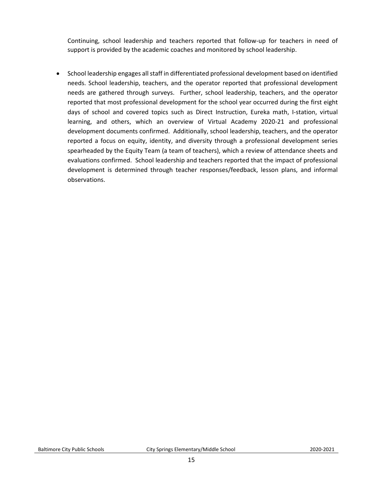Continuing, school leadership and teachers reported that follow-up for teachers in need of support is provided by the academic coaches and monitored by school leadership.

• School leadership engages all staff in differentiated professional development based on identified needs. School leadership, teachers, and the operator reported that professional development needs are gathered through surveys. Further, school leadership, teachers, and the operator reported that most professional development for the school year occurred during the first eight days of school and covered topics such as Direct Instruction, Eureka math, I-station, virtual learning, and others, which an overview of Virtual Academy 2020-21 and professional development documents confirmed. Additionally, school leadership, teachers, and the operator reported a focus on equity, identity, and diversity through a professional development series spearheaded by the Equity Team (a team of teachers), which a review of attendance sheets and evaluations confirmed. School leadership and teachers reported that the impact of professional development is determined through teacher responses/feedback, lesson plans, and informal observations.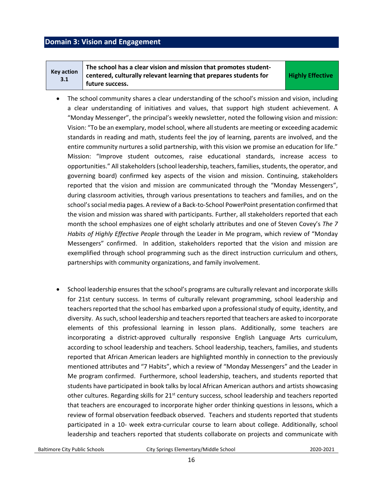### <span id="page-15-0"></span>**Domain 3: Vision and Engagement**

| <b>Key action</b><br>3.1 | The school has a clear vision and mission that promotes student-<br>centered, culturally relevant learning that prepares students for | <b>Highly Effective</b> |
|--------------------------|---------------------------------------------------------------------------------------------------------------------------------------|-------------------------|
|                          | future success.                                                                                                                       |                         |

- The school community shares a clear understanding of the school's mission and vision, including a clear understanding of initiatives and values, that support high student achievement. A "Monday Messenger", the principal's weekly newsletter, noted the following vision and mission: Vision: "To be an exemplary, model school, where all students are meeting or exceeding academic standards in reading and math, students feel the joy of learning, parents are involved, and the entire community nurtures a solid partnership, with this vision we promise an education for life." Mission: "Improve student outcomes, raise educational standards, increase access to opportunities." All stakeholders (school leadership, teachers, families, students, the operator, and governing board) confirmed key aspects of the vision and mission. Continuing, stakeholders reported that the vision and mission are communicated through the "Monday Messengers", during classroom activities, through various presentations to teachers and families, and on the school's social media pages. A review of a Back-to-School PowerPoint presentation confirmed that the vision and mission was shared with participants. Further, all stakeholders reported that each month the school emphasizes one of eight scholarly attributes and one of Steven Covey's *The 7 Habits of Highly Effective People* through the Leader in Me program, which review of "Monday Messengers" confirmed. In addition, stakeholders reported that the vision and mission are exemplified through school programming such as the direct instruction curriculum and others, partnerships with community organizations, and family involvement.
- School leadership ensures that the school's programs are culturally relevant and incorporate skills for 21st century success. In terms of culturally relevant programming, school leadership and teachers reported that the school has embarked upon a professional study of equity, identity, and diversity. As such, school leadership and teachers reported that teachers are asked to incorporate elements of this professional learning in lesson plans. Additionally, some teachers are incorporating a district-approved culturally responsive English Language Arts curriculum, according to school leadership and teachers. School leadership, teachers, families, and students reported that African American leaders are highlighted monthly in connection to the previously mentioned attributes and "7 Habits", which a review of "Monday Messengers" and the Leader in Me program confirmed. Furthermore, school leadership, teachers, and students reported that students have participated in book talks by local African American authors and artists showcasing other cultures. Regarding skills for  $21<sup>st</sup>$  century success, school leadership and teachers reported that teachers are encouraged to incorporate higher order thinking questions in lessons, which a review of formal observation feedback observed. Teachers and students reported that students participated in a 10- week extra-curricular course to learn about college. Additionally, school leadership and teachers reported that students collaborate on projects and communicate with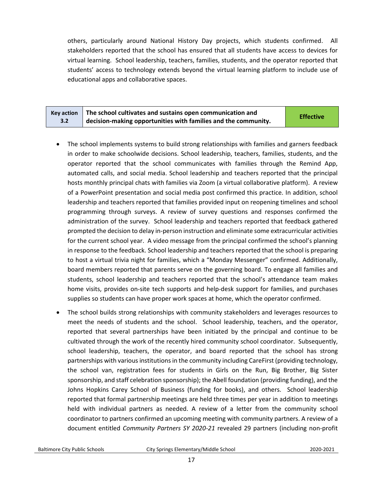others, particularly around National History Day projects, which students confirmed. All stakeholders reported that the school has ensured that all students have access to devices for virtual learning. School leadership, teachers, families, students, and the operator reported that students' access to technology extends beyond the virtual learning platform to include use of educational apps and collaborative spaces.

|     | Key action $\parallel$ The school cultivates and sustains open communication and | <b>Effective</b> |
|-----|----------------------------------------------------------------------------------|------------------|
| 3.2 | $\frac{1}{2}$ decision-making opportunities with families and the community.     |                  |

- The school implements systems to build strong relationships with families and garners feedback in order to make schoolwide decisions. School leadership, teachers, families, students, and the operator reported that the school communicates with families through the Remind App, automated calls, and social media. School leadership and teachers reported that the principal hosts monthly principal chats with families via Zoom (a virtual collaborative platform). A review of a PowerPoint presentation and social media post confirmed this practice. In addition, school leadership and teachers reported that families provided input on reopening timelines and school programming through surveys. A review of survey questions and responses confirmed the administration of the survey. School leadership and teachers reported that feedback gathered prompted the decision to delay in-person instruction and eliminate some extracurricular activities for the current school year. A video message from the principal confirmed the school's planning in response to the feedback. School leadership and teachers reported that the school is preparing to host a virtual trivia night for families, which a "Monday Messenger" confirmed. Additionally, board members reported that parents serve on the governing board. To engage all families and students, school leadership and teachers reported that the school's attendance team makes home visits, provides on-site tech supports and help-desk support for families, and purchases supplies so students can have proper work spaces at home, which the operator confirmed.
- The school builds strong relationships with community stakeholders and leverages resources to meet the needs of students and the school. School leadership, teachers, and the operator, reported that several partnerships have been initiated by the principal and continue to be cultivated through the work of the recently hired community school coordinator. Subsequently, school leadership, teachers, the operator, and board reported that the school has strong partnerships with various institutions in the community including CareFirst (providing technology, the school van, registration fees for students in Girls on the Run, Big Brother, Big Sister sponsorship, and staff celebration sponsorship); the Abell foundation (providing funding), and the Johns Hopkins Carey School of Business (funding for books), and others. School leadership reported that formal partnership meetings are held three times per year in addition to meetings held with individual partners as needed. A review of a letter from the community school coordinator to partners confirmed an upcoming meeting with community partners. A review of a document entitled *Community Partners SY 2020-21* revealed 29 partners (including non-profit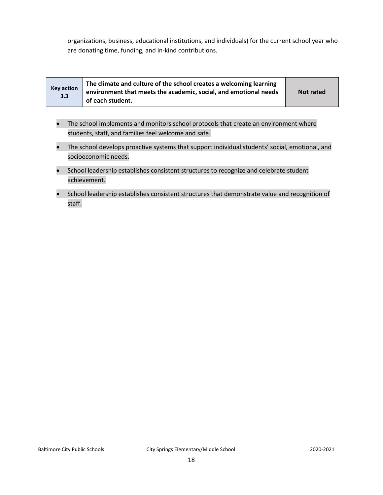organizations, business, educational institutions, and individuals) for the current school year who are donating time, funding, and in-kind contributions.

| <b>Key action</b><br>3.3 | The climate and culture of the school creates a welcoming learning<br>environment that meets the academic, social, and emotional needs<br>of each student. | <b>Not rated</b> |
|--------------------------|------------------------------------------------------------------------------------------------------------------------------------------------------------|------------------|
|--------------------------|------------------------------------------------------------------------------------------------------------------------------------------------------------|------------------|

- The school implements and monitors school protocols that create an environment where students, staff, and families feel welcome and safe.
- The school develops proactive systems that support individual students' social, emotional, and socioeconomic needs.
- School leadership establishes consistent structures to recognize and celebrate student achievement.
- School leadership establishes consistent structures that demonstrate value and recognition of staff.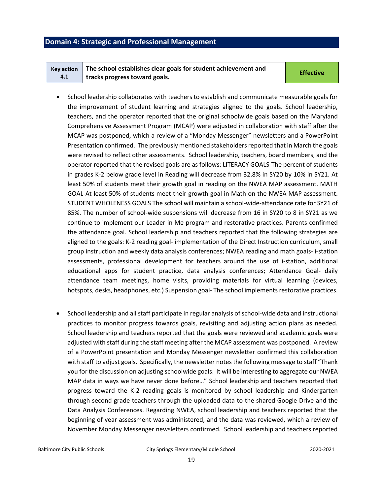### <span id="page-18-0"></span>**Domain 4: Strategic and Professional Management**

| Key action $\parallel$ The school establishes clear goals for student achievement and | <b>Effective</b> |
|---------------------------------------------------------------------------------------|------------------|
| tracks progress toward goals.                                                         |                  |

- School leadership collaborates with teachers to establish and communicate measurable goals for the improvement of student learning and strategies aligned to the goals. School leadership, teachers, and the operator reported that the original schoolwide goals based on the Maryland Comprehensive Assessment Program (MCAP) were adjusted in collaboration with staff after the MCAP was postponed, which a review of a "Monday Messenger" newsletters and a PowerPoint Presentation confirmed. The previously mentioned stakeholders reported that in March the goals were revised to reflect other assessments. School leadership, teachers, board members, and the operator reported that the revised goals are as follows: LITERACY GOALS-The percent of students in grades K-2 below grade level in Reading will decrease from 32.8% in SY20 by 10% in SY21. At least 50% of students meet their growth goal in reading on the NWEA MAP assessment. MATH GOAL-At least 50% of students meet their growth goal in Math on the NWEA MAP assessment. STUDENT WHOLENESS GOALS The school will maintain a school-wide-attendance rate for SY21 of 85%. The number of school-wide suspensions will decrease from 16 in SY20 to 8 in SY21 as we continue to implement our Leader in Me program and restorative practices. Parents confirmed the attendance goal. School leadership and teachers reported that the following strategies are aligned to the goals: K-2 reading goal- implementation of the Direct Instruction curriculum, small group instruction and weekly data analysis conferences; NWEA reading and math goals- i-station assessments, professional development for teachers around the use of i-station, additional educational apps for student practice, data analysis conferences; Attendance Goal- daily attendance team meetings, home visits, providing materials for virtual learning (devices, hotspots, desks, headphones, etc.) Suspension goal- The school implements restorative practices.
- School leadership and all staff participate in regular analysis of school-wide data and instructional practices to monitor progress towards goals, revisiting and adjusting action plans as needed. School leadership and teachers reported that the goals were reviewed and academic goals were adjusted with staff during the staff meeting after the MCAP assessment was postponed. A review of a PowerPoint presentation and Monday Messenger newsletter confirmed this collaboration with staff to adjust goals. Specifically, the newsletter notes the following message to staff "Thank you for the discussion on adjusting schoolwide goals. It will be interesting to aggregate our NWEA MAP data in ways we have never done before…" School leadership and teachers reported that progress toward the K-2 reading goals is monitored by school leadership and Kindergarten through second grade teachers through the uploaded data to the shared Google Drive and the Data Analysis Conferences. Regarding NWEA, school leadership and teachers reported that the beginning of year assessment was administered, and the data was reviewed, which a review of November Monday Messenger newsletters confirmed. School leadership and teachers reported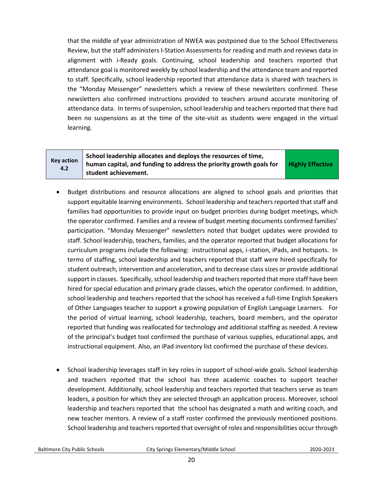that the middle of year administration of NWEA was postponed due to the School Effectiveness Review, but the staff administers I-Station Assessments for reading and math and reviews data in alignment with i-Ready goals. Continuing, school leadership and teachers reported that attendance goal is monitored weekly by school leadership and the attendance team and reported to staff. Specifically, school leadership reported that attendance data is shared with teachers in the "Monday Messenger" newsletters which a review of these newsletters confirmed. These newsletters also confirmed instructions provided to teachers around accurate monitoring of attendance data. In terms of suspension, school leadership and teachers reported that there had been no suspensions as at the time of the site-visit as students were engaged in the virtual learning.

### **Key action 4.2**

**School leadership allocates and deploys the resources of time, human capital, and funding to address the priority growth goals for student achievement.** 

**Highly Effective**

- Budget distributions and resource allocations are aligned to school goals and priorities that support equitable learning environments. School leadership and teachers reported that staff and families had opportunities to provide input on budget priorities during budget meetings, which the operator confirmed. Families and a review of budget meeting documents confirmed families' participation. "Monday Messenger" newsletters noted that budget updates were provided to staff. School leadership, teachers, families, and the operator reported that budget allocations for curriculum programs include the following: instructional apps, i-station, iPads, and hotspots. In terms of staffing, school leadership and teachers reported that staff were hired specifically for student outreach, intervention and acceleration, and to decrease class sizes or provide additional support in classes. Specifically, school leadership and teachers reported that more staff have been hired for special education and primary grade classes, which the operator confirmed. In addition, school leadership and teachers reported that the school has received a full-time English Speakers of Other Languages teacher to support a growing population of English Language Learners. For the period of virtual learning, school leadership, teachers, board members, and the operator reported that funding was reallocated for technology and additional staffing as needed. A review of the principal's budget tool confirmed the purchase of various supplies, educational apps, and instructional equipment. Also, an iPad inventory list confirmed the purchase of these devices.
- School leadership leverages staff in key roles in support of school-wide goals. School leadership and teachers reported that the school has three academic coaches to support teacher development. Additionally, school leadership and teachers reported that teachers serve as team leaders, a position for which they are selected through an application process. Moreover, school leadership and teachers reported that the school has designated a math and writing coach, and new teacher mentors. A review of a staff roster confirmed the previously mentioned positions. School leadership and teachers reported that oversight of roles and responsibilities occur through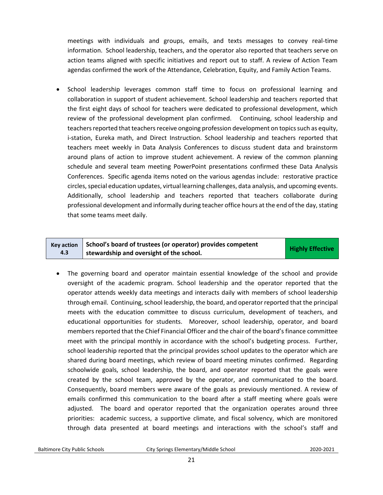meetings with individuals and groups, emails, and texts messages to convey real-time information. School leadership, teachers, and the operator also reported that teachers serve on action teams aligned with specific initiatives and report out to staff. A review of Action Team agendas confirmed the work of the Attendance, Celebration, Equity, and Family Action Teams.

• School leadership leverages common staff time to focus on professional learning and collaboration in support of student achievement. School leadership and teachers reported that the first eight days of school for teachers were dedicated to professional development, which review of the professional development plan confirmed. Continuing, school leadership and teachers reported that teachers receive ongoing profession development on topics such as equity, i-station, Eureka math, and Direct Instruction. School leadership and teachers reported that teachers meet weekly in Data Analysis Conferences to discuss student data and brainstorm around plans of action to improve student achievement. A review of the common planning schedule and several team meeting PowerPoint presentations confirmed these Data Analysis Conferences. Specific agenda items noted on the various agendas include: restorative practice circles, special education updates, virtual learning challenges, data analysis, and upcoming events. Additionally, school leadership and teachers reported that teachers collaborate during professional development and informally during teacher office hours at the end of the day, stating that some teams meet daily.

#### **Key action 4.3 School's board of trustees (or operator) provides competent stribut studies of the school. Effective Highly Effective**

• The governing board and operator maintain essential knowledge of the school and provide oversight of the academic program. School leadership and the operator reported that the operator attends weekly data meetings and interacts daily with members of school leadership through email. Continuing, school leadership, the board, and operator reported that the principal meets with the education committee to discuss curriculum, development of teachers, and educational opportunities for students. Moreover, school leadership, operator, and board members reported that the Chief Financial Officer and the chair of the board's finance committee meet with the principal monthly in accordance with the school's budgeting process. Further, school leadership reported that the principal provides school updates to the operator which are shared during board meetings, which review of board meeting minutes confirmed. Regarding schoolwide goals, school leadership, the board, and operator reported that the goals were created by the school team, approved by the operator, and communicated to the board. Consequently, board members were aware of the goals as previously mentioned. A review of emails confirmed this communication to the board after a staff meeting where goals were adjusted. The board and operator reported that the organization operates around three priorities: academic success, a supportive climate, and fiscal solvency, which are monitored through data presented at board meetings and interactions with the school's staff and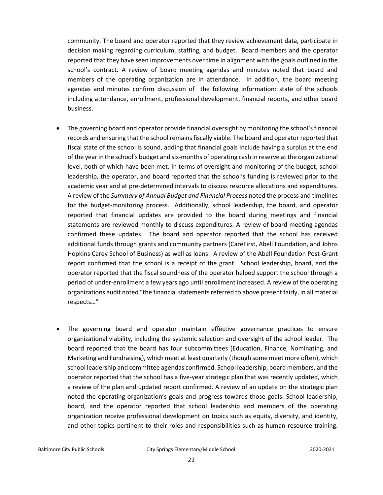community. The board and operator reported that they review achievement data, participate in decision making regarding curriculum, staffing, and budget. Board members and the operator reported that they have seen improvements over time in alignment with the goals outlined in the school's contract. A review of board meeting agendas and minutes noted that board and members of the operating organization are in attendance. In addition, the board meeting agendas and minutes confirm discussion of the following information: state of the schools including attendance, enrollment, professional development, financial reports, and other board business.

- The governing board and operator provide financial oversight by monitoring the school's financial records and ensuring that the school remains fiscally viable. The board and operator reported that fiscal state of the school is sound, adding that financial goals include having a surplus at the end of the year in the school's budget and six-months of operating cash in reserve at the organizational level, both of which have been met. In terms of oversight and monitoring of the budget, school leadership, the operator, and board reported that the school's funding is reviewed prior to the academic year and at pre-determined intervals to discuss resource allocations and expenditures. A review of the *Summary of Annual Budget and Financial Process* noted the process and timelines for the budget-monitoring process. Additionally, school leadership, the board, and operator reported that financial updates are provided to the board during meetings and financial statements are reviewed monthly to discuss expenditures. A review of board meeting agendas confirmed these updates. The board and operator reported that the school has received additional funds through grants and community partners (CareFirst, Abell Foundation, and Johns Hopkins Carey School of Business) as well as loans. A review of the Abell Foundation Post-Grant report confirmed that the school is a receipt of the grant. School leadership, board, and the operator reported that the fiscal soundness of the operator helped support the school through a period of under-enrollment a few years ago until enrollment increased. A review of the operating organizations audit noted "the financial statements referred to above present fairly, in all material respects…"
- The governing board and operator maintain effective governance practices to ensure organizational viability, including the systemic selection and oversight of the school leader. The board reported that the board has four subcommittees (Education, Finance, Nominating, and Marketing and Fundraising), which meet at least quarterly (though some meet more often), which school leadership and committee agendas confirmed. School leadership, board members, and the operator reported that the school has a five-year strategic plan that was recently updated, which a review of the plan and updated report confirmed. A review of an update on the strategic plan noted the operating organization's goals and progress towards those goals. School leadership, board, and the operator reported that school leadership and members of the operating organization receive professional development on topics such as equity, diversity, and identity, and other topics pertinent to their roles and responsibilities such as human resource training.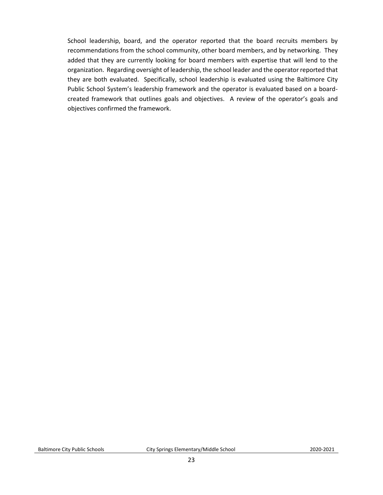School leadership, board, and the operator reported that the board recruits members by recommendations from the school community, other board members, and by networking. They added that they are currently looking for board members with expertise that will lend to the organization. Regarding oversight of leadership, the school leader and the operator reported that they are both evaluated. Specifically, school leadership is evaluated using the Baltimore City Public School System's leadership framework and the operator is evaluated based on a boardcreated framework that outlines goals and objectives. A review of the operator's goals and objectives confirmed the framework.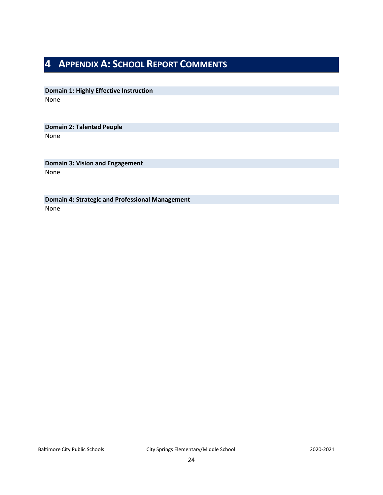## <span id="page-23-0"></span>**4 APPENDIX A: SCHOOL REPORT COMMENTS**

**Domain 1: Highly Effective Instruction** None

**Domain 2: Talented People** None

**Domain 3: Vision and Engagement** None

**Domain 4: Strategic and Professional Management** None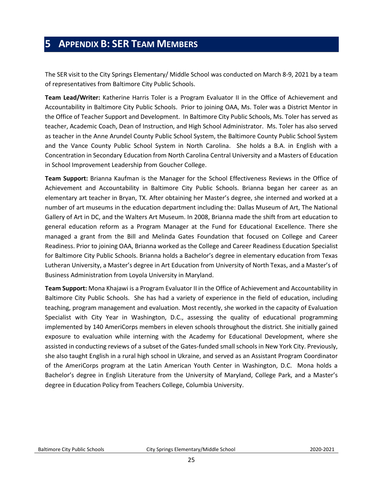## <span id="page-24-0"></span>**5 APPENDIX B: SER TEAM MEMBERS**

The SER visit to the City Springs Elementary/ Middle School was conducted on March 8-9, 2021 by a team of representatives from Baltimore City Public Schools.

**Team Lead/Writer:** Katherine Harris Toler is a Program Evaluator II in the Office of Achievement and Accountability in Baltimore City Public Schools. Prior to joining OAA, Ms. Toler was a District Mentor in the Office of Teacher Support and Development. In Baltimore City Public Schools, Ms. Toler has served as teacher, Academic Coach, Dean of Instruction, and High School Administrator. Ms. Toler has also served as teacher in the Anne Arundel County Public School System, the Baltimore County Public School System and the Vance County Public School System in North Carolina. She holds a B.A. in English with a Concentration in Secondary Education from North Carolina Central University and a Masters of Education in School Improvement Leadership from Goucher College.

**Team Support:** Brianna Kaufman is the Manager for the School Effectiveness Reviews in the Office of Achievement and Accountability in Baltimore City Public Schools. Brianna began her career as an elementary art teacher in Bryan, TX. After obtaining her Master's degree, she interned and worked at a number of art museums in the education department including the: Dallas Museum of Art, The National Gallery of Art in DC, and the Walters Art Museum. In 2008, Brianna made the shift from art education to general education reform as a Program Manager at the Fund for Educational Excellence. There she managed a grant from the Bill and Melinda Gates Foundation that focused on College and Career Readiness. Prior to joining OAA, Brianna worked as the College and Career Readiness Education Specialist for Baltimore City Public Schools. Brianna holds a Bachelor's degree in elementary education from Texas Lutheran University, a Master's degree in Art Education from University of North Texas, and a Master's of Business Administration from Loyola University in Maryland.

**Team Support:** Mona Khajawi is a Program Evaluator II in the Office of Achievement and Accountability in Baltimore City Public Schools. She has had a variety of experience in the field of education, including teaching, program management and evaluation. Most recently, she worked in the capacity of Evaluation Specialist with City Year in Washington, D.C., assessing the quality of educational programming implemented by 140 AmeriCorps members in eleven schools throughout the district. She initially gained exposure to evaluation while interning with the Academy for Educational Development, where she assisted in conducting reviews of a subset of the Gates-funded small schools in New York City. Previously, she also taught English in a rural high school in Ukraine, and served as an Assistant Program Coordinator of the AmeriCorps program at the Latin American Youth Center in Washington, D.C. Mona holds a Bachelor's degree in English Literature from the University of Maryland, College Park, and a Master's degree in Education Policy from Teachers College, Columbia University.